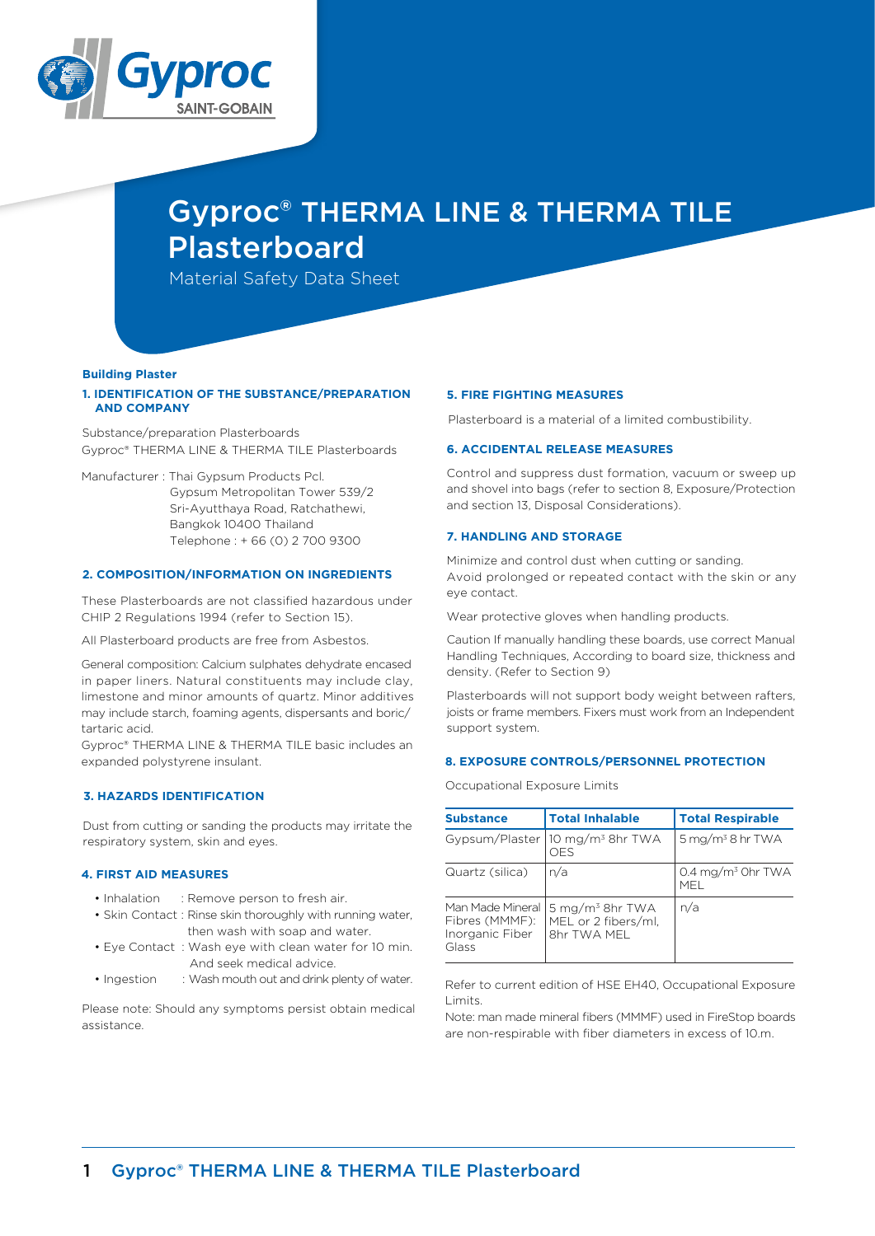

# Gyproc® THERMA LINE & THERMA TILE Plasterboard

Material Safety Data Sheet

### **Building Plaster**

# **1. IDENTIFICATION OF THE SUBSTANCE/PREPARATION AND COMPANY**

Substance/preparation Plasterboards Gyproc® THERMA LINE & THERMA TILE Plasterboards

Manufacturer : Thai Gypsum Products Pcl.

 Gypsum Metropolitan Tower 539/2 Sri-Ayutthaya Road, Ratchathewi, Bangkok 10400 Thailand Telephone : + 66 (0) 2 700 9300

# **2. COMPOSITION/INFORMATION ON INGREDIENTS**

These Plasterboards are not classified hazardous under CHIP 2 Regulations 1994 (refer to Section 15).

All Plasterboard products are free from Asbestos.

General composition: Calcium sulphates dehydrate encased in paper liners. Natural constituents may include clay, limestone and minor amounts of quartz. Minor additives may include starch, foaming agents, dispersants and boric/ tartaric acid.

Gyproc® THERMA LINE & THERMA TILE basic includes an expanded polystyrene insulant.

# **3. HAZARDS IDENTIFICATION**

Dust from cutting or sanding the products may irritate the respiratory system, skin and eyes.

# **4. FIRST AID MEASURES**

- Inhalation : Remove person to fresh air.
- Skin Contact : Rinse skin thoroughly with running water, then wash with soap and water.
- Eye Contact : Wash eye with clean water for 10 min. And seek medical advice.
- Ingestion : Wash mouth out and drink plenty of water.

Please note: Should any symptoms persist obtain medical assistance.

## **5. FIRE FIGHTING MEASURES**

Plasterboard is a material of a limited combustibility.

## **6. ACCIDENTAL RELEASE MEASURES**

Control and suppress dust formation, vacuum or sweep up and shovel into bags (refer to section 8, Exposure/Protection and section 13, Disposal Considerations).

# **7. HANDLING AND STORAGE**

Minimize and control dust when cutting or sanding. Avoid prolonged or repeated contact with the skin or any eye contact.

Wear protective gloves when handling products.

Caution If manually handling these boards, use correct Manual Handling Techniques, According to board size, thickness and density. (Refer to Section 9)

Plasterboards will not support body weight between rafters, joists or frame members. Fixers must work from an Independent support system.

## **8. EXPOSURE CONTROLS/PERSONNEL PROTECTION**

Occupational Exposure Limits

| <b>Substance</b>                                               | <b>Total Inhalable</b>                                            | <b>Total Respirable</b>              |  |
|----------------------------------------------------------------|-------------------------------------------------------------------|--------------------------------------|--|
|                                                                | Gypsum/Plaster 10 mg/m <sup>3</sup> 8hr TWA<br>OES                | $5 \,\mathrm{mg/m^3}$ 8 hr TWA       |  |
| Quartz (silica)                                                | n/a                                                               | 0.4 mg/m <sup>3</sup> Ohr TWA<br>MFI |  |
| Man Made Mineral<br>Fibres (MMMF):<br>Inorganic Fiber<br>Glass | 5 mg/m <sup>3</sup> 8hr TWA<br>MEL or 2 fibers/ml,<br>8hr TWA MFL | n/a                                  |  |

Refer to current edition of HSE EH40, Occupational Exposure Limits.

Note: man made mineral fibers (MMMF) used in FireStop boards are non-respirable with fiber diameters in excess of 10.m.